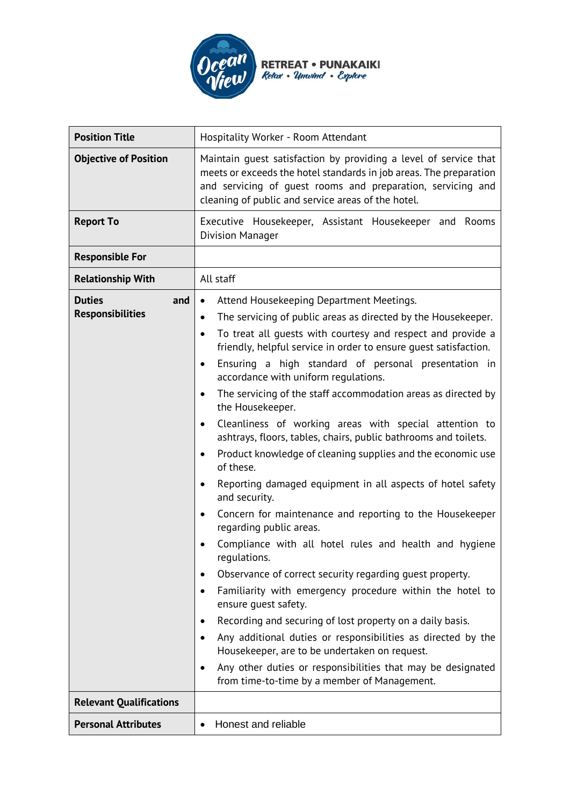

| <b>Position Title</b>                           | Hospitality Worker - Room Attendant                                                                                                                                                                                                                                                                                                                                                                                                                                                                                                                                                                                                                                                                                                                                                                                                                                                                                                                                                                                                                                                                                                                                                                                                                                                                                                                                                                  |  |  |
|-------------------------------------------------|------------------------------------------------------------------------------------------------------------------------------------------------------------------------------------------------------------------------------------------------------------------------------------------------------------------------------------------------------------------------------------------------------------------------------------------------------------------------------------------------------------------------------------------------------------------------------------------------------------------------------------------------------------------------------------------------------------------------------------------------------------------------------------------------------------------------------------------------------------------------------------------------------------------------------------------------------------------------------------------------------------------------------------------------------------------------------------------------------------------------------------------------------------------------------------------------------------------------------------------------------------------------------------------------------------------------------------------------------------------------------------------------------|--|--|
| <b>Objective of Position</b>                    | Maintain quest satisfaction by providing a level of service that<br>meets or exceeds the hotel standards in job areas. The preparation<br>and servicing of guest rooms and preparation, servicing and<br>cleaning of public and service areas of the hotel.                                                                                                                                                                                                                                                                                                                                                                                                                                                                                                                                                                                                                                                                                                                                                                                                                                                                                                                                                                                                                                                                                                                                          |  |  |
| <b>Report To</b>                                | Executive Housekeeper, Assistant Housekeeper and<br>Rooms<br><b>Division Manager</b>                                                                                                                                                                                                                                                                                                                                                                                                                                                                                                                                                                                                                                                                                                                                                                                                                                                                                                                                                                                                                                                                                                                                                                                                                                                                                                                 |  |  |
| <b>Responsible For</b>                          |                                                                                                                                                                                                                                                                                                                                                                                                                                                                                                                                                                                                                                                                                                                                                                                                                                                                                                                                                                                                                                                                                                                                                                                                                                                                                                                                                                                                      |  |  |
| <b>Relationship With</b>                        | All staff                                                                                                                                                                                                                                                                                                                                                                                                                                                                                                                                                                                                                                                                                                                                                                                                                                                                                                                                                                                                                                                                                                                                                                                                                                                                                                                                                                                            |  |  |
| <b>Duties</b><br>and<br><b>Responsibilities</b> | Attend Housekeeping Department Meetings.<br>٠<br>The servicing of public areas as directed by the Housekeeper.<br>٠<br>To treat all quests with courtesy and respect and provide a<br>٠<br>friendly, helpful service in order to ensure quest satisfaction.<br>Ensuring a high standard of personal presentation in<br>accordance with uniform regulations.<br>The servicing of the staff accommodation areas as directed by<br>$\bullet$<br>the Housekeeper.<br>Cleanliness of working areas with special attention to<br>$\bullet$<br>ashtrays, floors, tables, chairs, public bathrooms and toilets.<br>Product knowledge of cleaning supplies and the economic use<br>٠<br>of these.<br>Reporting damaged equipment in all aspects of hotel safety<br>and security.<br>Concern for maintenance and reporting to the Housekeeper<br>٠<br>regarding public areas.<br>Compliance with all hotel rules and health and hygiene<br>regulations.<br>Observance of correct security regarding guest property.<br>٠<br>Familiarity with emergency procedure within the hotel to<br>٠<br>ensure quest safety.<br>Recording and securing of lost property on a daily basis.<br>Any additional duties or responsibilities as directed by the<br>Housekeeper, are to be undertaken on request.<br>Any other duties or responsibilities that may be designated<br>from time-to-time by a member of Management. |  |  |
| <b>Relevant Qualifications</b>                  |                                                                                                                                                                                                                                                                                                                                                                                                                                                                                                                                                                                                                                                                                                                                                                                                                                                                                                                                                                                                                                                                                                                                                                                                                                                                                                                                                                                                      |  |  |
| <b>Personal Attributes</b>                      | Honest and reliable                                                                                                                                                                                                                                                                                                                                                                                                                                                                                                                                                                                                                                                                                                                                                                                                                                                                                                                                                                                                                                                                                                                                                                                                                                                                                                                                                                                  |  |  |